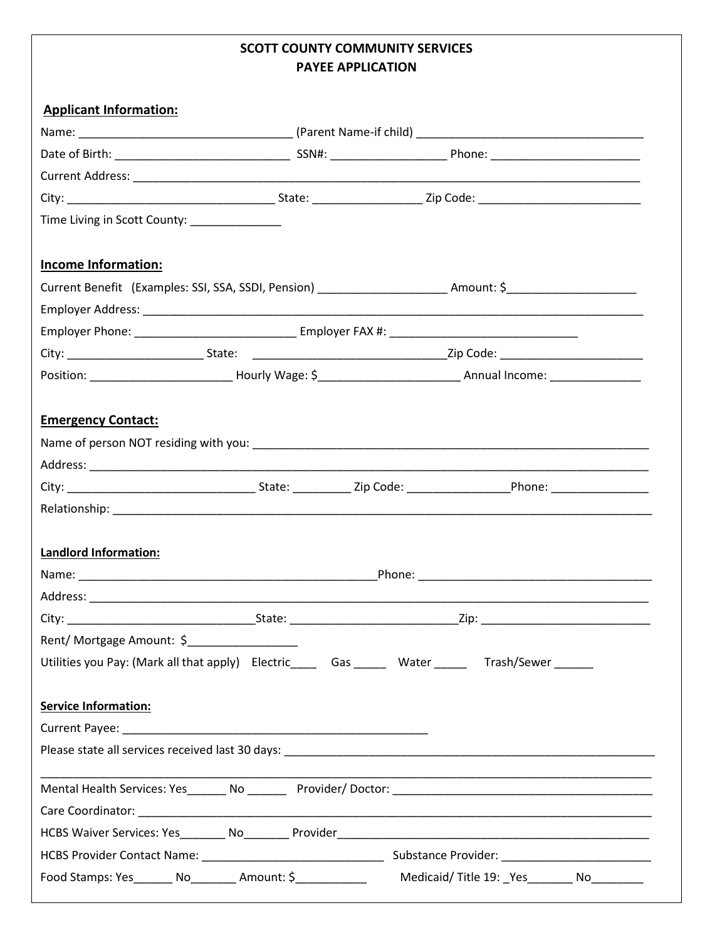## **SCOTT COUNTY COMMUNITY SERVICES PAYEE APPLICATION**

| Time Living in Scott County: _____________     |                                                                                                                 |  |
|------------------------------------------------|-----------------------------------------------------------------------------------------------------------------|--|
|                                                |                                                                                                                 |  |
| <b>Income Information:</b>                     |                                                                                                                 |  |
|                                                | Current Benefit (Examples: SSI, SSA, SSDI, Pension) ________________________Amount: \$_____________________     |  |
|                                                |                                                                                                                 |  |
|                                                |                                                                                                                 |  |
|                                                |                                                                                                                 |  |
|                                                | Position: ___________________________Hourly Wage: \$______________________________ Annual Income: _____________ |  |
|                                                |                                                                                                                 |  |
| <b>Emergency Contact:</b>                      |                                                                                                                 |  |
|                                                |                                                                                                                 |  |
|                                                |                                                                                                                 |  |
|                                                |                                                                                                                 |  |
|                                                |                                                                                                                 |  |
|                                                |                                                                                                                 |  |
|                                                |                                                                                                                 |  |
| <b>Landlord Information:</b>                   |                                                                                                                 |  |
|                                                |                                                                                                                 |  |
|                                                |                                                                                                                 |  |
| City:                                          |                                                                                                                 |  |
| Rent/ Mortgage Amount: \$_____________________ |                                                                                                                 |  |
|                                                | Utilities you Pay: (Mark all that apply) Electric_____ Gas ______ Water ______ Trash/Sewer ______               |  |
|                                                |                                                                                                                 |  |
| <b>Service Information:</b>                    |                                                                                                                 |  |
|                                                |                                                                                                                 |  |
|                                                |                                                                                                                 |  |
|                                                |                                                                                                                 |  |
|                                                |                                                                                                                 |  |
|                                                |                                                                                                                 |  |
|                                                |                                                                                                                 |  |
|                                                |                                                                                                                 |  |